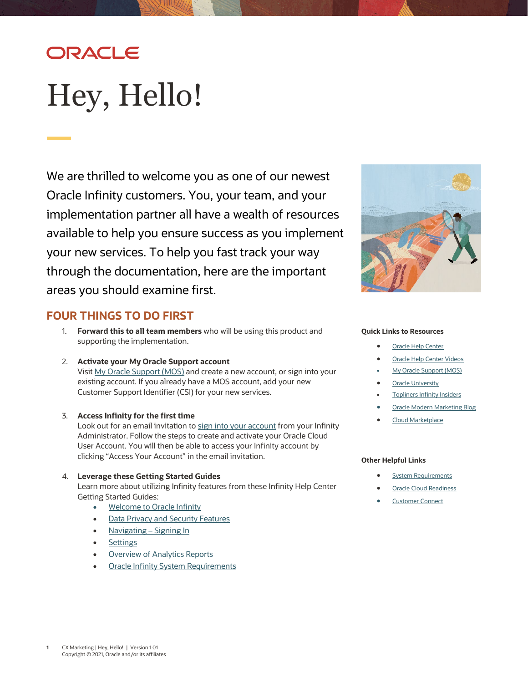# ORACLE

# <span id="page-0-0"></span>Hey, Hello!

We are thrilled to welcome you as one of our newest Oracle Infinity customers. You, your team, and your implementation partner all have a wealth of resources available to help you ensure success as you implement your new services. To help you fast track your way through the documentation, here are the important areas you should examine first.

### **FOUR THINGS TO DO FIRST**

- 1. **Forward this to all team members** who will be using this product and supporting the implementation.
- 2. **Activate your My Oracle Support account** Visit [My Oracle Support \(MOS\)](https://support.oracle.com/) and create a new account, or sign into your existing account. If you already have a MOS account, add your new Customer Support Identifier (CSI) for your new services.

# 3. **Access Infinity for the first time**

Look out for an email invitation t[o sign into your account](https://docs.oracle.com/en/cloud/saas/marketing/infinity-user/Help/getting_started/login.htm) from your Infinity Administrator. Follow the steps to create and activate your Oracle Cloud User Account. You will then be able to access your Infinity account by clicking "Access Your Account" in the email invitation.

#### 4. **Leverage these Getting Started Guides**

Learn more about utilizing Infinity features from these Infinity Help Center Getting Started Guides:

- [Welcome to Oracle Infinity](https://docs.oracle.com/en/cloud/saas/marketing/infinity-user/Help/getting_started/Welcome_Infinity.htm)
- [Data Privacy and Security Features](https://docs.oracle.com/en/cloud/saas/marketing/infinity-user/Help/getting_started/data_privacy_and_security.htm)
- [Navigating –](https://docs.oracle.com/en/cloud/saas/marketing/infinity-user/Help/getting_started/login.htm) Signing In
- [Settings](https://docs.oracle.com/en/cloud/saas/marketing/infinity-user/Help/account_settings.htm)
- **[Overview of Analytics Reports](https://docs.oracle.com/en/cloud/saas/marketing/infinity-user/Help/reports.htm)**
- **[Oracle Infinity System Requirements](https://docs.oracle.com/en/cloud/saas/marketing/infinity-user/Help/getting_started/supported_browsers.htm)**



#### **Quick Links to Resources**

- **[Oracle Help Center](https://docs.oracle.com/en/cloud/saas/marketing/infinity-user/Help/get_started.htm)**
- [Oracle Help Center Videos](https://www.youtube.com/channel/UCZwotmMjrpd4I8DUaS5TVGA)
- **[My Oracle Support \(MOS\)](https://support.oracle.com/)**
- **[Oracle University](https://learn.oracle.com/ols/home/37002#filtersGroup1=&filtersGroup2=&filtersGroup3=&filtersGroup4=&filtersGroup5=&filtersGroup6=&filtersGroup7=&filtersSearch=)**
- [Topliners Infinity](https://community.oracle.com/topliners/group/5573-infinity-insiders) Insiders
- **[Oracle Modern Marketing Blog](https://blogs.oracle.com/marketingcloud/)**
- [Cloud Marketplace](https://cloudmarketplace.oracle.com/marketplace/product/marketing)

#### **Other Helpful Links**

- **[System Requirements](https://docs.oracle.com/en/cloud/saas/marketing/infinity-user/Help/getting_started/supported_browsers.htm)**
- **[Oracle Cloud Readiness](https://www.oracle.com/webfolder/technetwork/tutorials/tutorial/readiness/offering.html?offering=marketing-infinity-20)**
- **[Customer Connect](https://community.oracle.com/customerconnect/)**